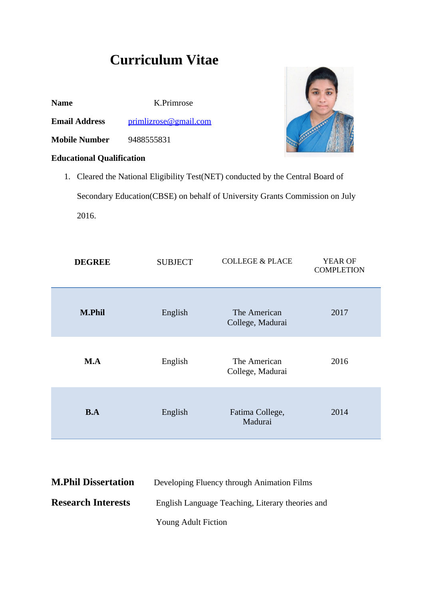# **Curriculum Vitae**

| <b>Name</b>          | K.Primrose                        |
|----------------------|-----------------------------------|
| <b>Email Address</b> | $primlizrose(\partial gmail.com)$ |

**Mobile Number** 9488555831

## **Educational Qualification**



1. Cleared the National Eligibility Test(NET) conducted by the Central Board of Secondary Education(CBSE) on behalf of University Grants Commission on July 2016.

| <b>DEGREE</b> | <b>SUBJECT</b> | <b>COLLEGE &amp; PLACE</b>       | YEAR OF<br><b>COMPLETION</b> |
|---------------|----------------|----------------------------------|------------------------------|
| <b>M.Phil</b> | English        | The American<br>College, Madurai | 2017                         |
| M.A           | English        | The American<br>College, Madurai | 2016                         |
| B.A           | English        | Fatima College,<br>Madurai       | 2014                         |

| <b>M.Phil Dissertation</b> | Developing Fluency through Animation Films       |
|----------------------------|--------------------------------------------------|
| <b>Research Interests</b>  | English Language Teaching, Literary theories and |
|                            | <b>Young Adult Fiction</b>                       |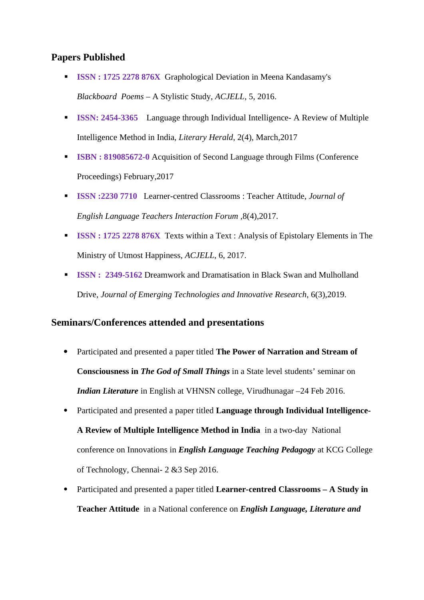## **Papers Published**

- **ISSN : 1725 2278 876X** Graphological Deviation in Meena Kandasamy's *Blackboard Poems* – A Stylistic Study, *ACJELL*, 5, 2016.
- **ISSN: 2454-3365** Language through Individual Intelligence- A Review of Multiple Intelligence Method in India, *Literary Herald*, 2(4), March,2017
- **ISBN : 819085672-0** Acquisition of Second Language through Films (Conference Proceedings) February,2017
- **ISSN :2230 7710** Learner-centred Classrooms : Teacher Attitude, *Journal of English Language Teachers Interaction Forum ,*8(4),2017.
- **ISSN : 1725 2278 876X** Texts within a Text : Analysis of Epistolary Elements in The Ministry of Utmost Happiness, *ACJELL*, 6, 2017.
- **ISSN : 2349-5162** Dreamwork and Dramatisation in Black Swan and Mulholland Drive, *Journal of Emerging Technologies and Innovative Research*, 6(3),2019.

## **Seminars/Conferences attended and presentations**

- Participated and presented a paper titled **The Power of Narration and Stream of Consciousness in** *The God of Small Things* in a State level students' seminar on *Indian Literature* in English at VHNSN college, Virudhunagar –24 Feb 2016.
- Participated and presented a paper titled **Language through Individual Intelligence-**

**A Review of Multiple Intelligence Method in India** in a two-day National conference on Innovations in *English Language Teaching Pedagogy* at KCG College of Technology, Chennai- 2 &3 Sep 2016.

 Participated and presented a paper titled **Learner-centred Classrooms – A Study in Teacher Attitude** in a National conference on *English Language, Literature and*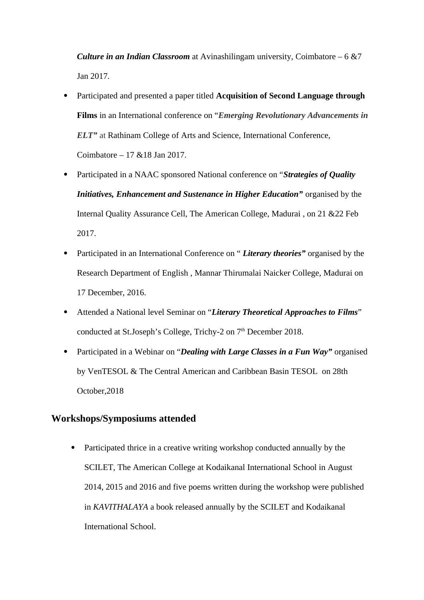*Culture in an Indian Classroom* at Avinashilingam university, Coimbatore – 6 &7 Jan 2017.

- Participated and presented a paper titled **Acquisition of Second Language through Films** in an International conference on "*Emerging Revolutionary Advancements in ELT"* at Rathinam College of Arts and Science, International Conference, Coimbatore – 17 &18 Jan 2017.
- Participated in a NAAC sponsored National conference on "*Strategies of Quality Initiatives, Enhancement and Sustenance in Higher Education"* organised by the Internal Quality Assurance Cell, The American College, Madurai , on 21 &22 Feb 2017.
- Participated in an International Conference on " *Literary theories"* organised by the Research Department of English , Mannar Thirumalai Naicker College, Madurai on 17 December, 2016.
- Attended a National level Seminar on "*Literary Theoretical Approaches to Films*" conducted at St.Joseph's College, Trichy-2 on 7<sup>th</sup> December 2018.
- Participated in a Webinar on "*Dealing with Large Classes in a Fun Way"* organised by VenTESOL & The Central American and Caribbean Basin TESOL on 28th October,2018

### **Workshops/Symposiums attended**

 Participated thrice in a creative writing workshop conducted annually by the SCILET, The American College at Kodaikanal International School in August 2014, 2015 and 2016 and five poems written during the workshop were published in *KAVITHALAYA* a book released annually by the SCILET and Kodaikanal International School.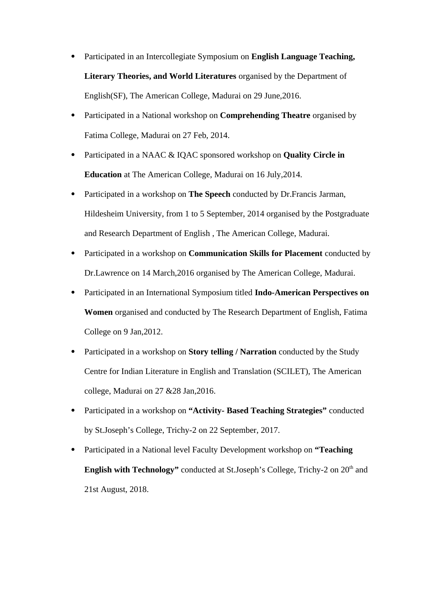- Participated in an Intercollegiate Symposium on **English Language Teaching, Literary Theories, and World Literatures** organised by the Department of English(SF), The American College, Madurai on 29 June,2016.
- Participated in a National workshop on **Comprehending Theatre** organised by Fatima College, Madurai on 27 Feb, 2014.
- Participated in a NAAC & IQAC sponsored workshop on **Quality Circle in Education** at The American College, Madurai on 16 July,2014.
- Participated in a workshop on **The Speech** conducted by Dr.Francis Jarman, Hildesheim University, from 1 to 5 September, 2014 organised by the Postgraduate and Research Department of English , The American College, Madurai.
- Participated in a workshop on **Communication Skills for Placement** conducted by Dr.Lawrence on 14 March,2016 organised by The American College, Madurai.
- Participated in an International Symposium titled **Indo-American Perspectives on Women** organised and conducted by The Research Department of English, Fatima College on 9 Jan,2012.
- Participated in a workshop on **Story telling / Narration** conducted by the Study Centre for Indian Literature in English and Translation (SCILET), The American college, Madurai on 27 &28 Jan,2016.
- Participated in a workshop on **"Activity- Based Teaching Strategies"** conducted by St.Joseph's College, Trichy-2 on 22 September, 2017.
- Participated in a National level Faculty Development workshop on **"Teaching English with Technology"** conducted at St.Joseph's College, Trichy-2 on 20<sup>th</sup> and 21st August, 2018.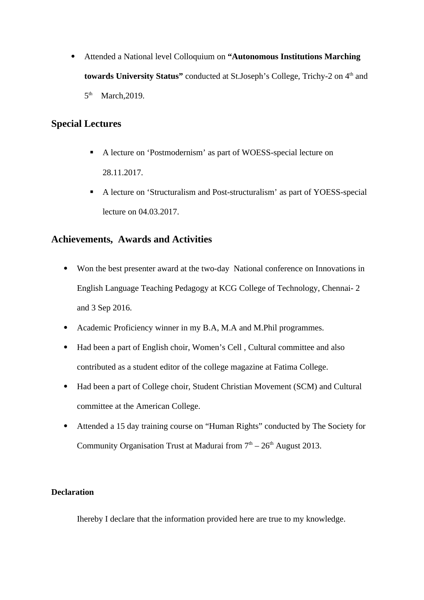Attended a National level Colloquium on **"Autonomous Institutions Marching**  towards University Status" conducted at St.Joseph's College, Trichy-2 on 4<sup>th</sup> and 5<sup>th</sup> March, 2019.

## **Special Lectures**

- A lecture on 'Postmodernism' as part of WOESS-special lecture on 28.11.2017.
- A lecture on 'Structuralism and Post-structuralism' as part of YOESS-special lecture on 04.03.2017.

## **Achievements, Awards and Activities**

- Won the best presenter award at the two-day National conference on Innovations in English Language Teaching Pedagogy at KCG College of Technology, Chennai- 2 and 3 Sep 2016.
- Academic Proficiency winner in my B.A, M.A and M.Phil programmes.
- Had been a part of English choir, Women's Cell, Cultural committee and also contributed as a student editor of the college magazine at Fatima College.
- Had been a part of College choir, Student Christian Movement (SCM) and Cultural committee at the American College.
- Attended a 15 day training course on "Human Rights" conducted by The Society for Community Organisation Trust at Madurai from  $7<sup>th</sup> - 26<sup>th</sup>$  August 2013.

#### **Declaration**

Ihereby I declare that the information provided here are true to my knowledge.